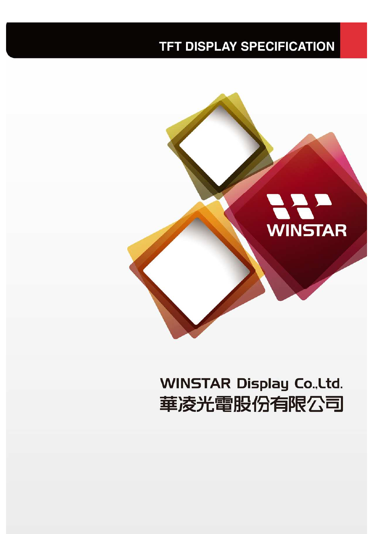#### **TFT DISPLAY SPECIFICATION**



# **WINSTAR Display Co., Ltd.** 華凌光電股份有限公司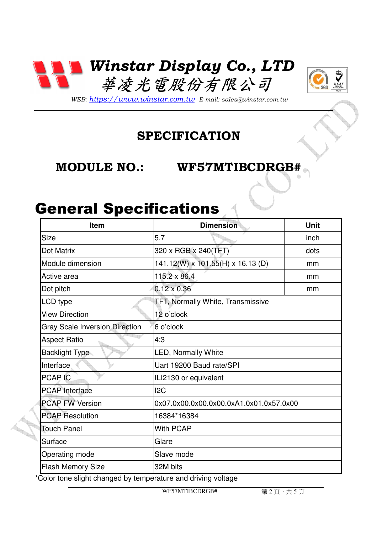



*WEB: https://www.winstar.com.tw E-mail: sales@winstar.com.tw*

#### **SPECIFICATION**

#### **MODULE NO.: WF57MTIBCDRGB#**

## General Specifications

| Item                                  | <b>Dimension</b>                         | <b>Unit</b> |  |
|---------------------------------------|------------------------------------------|-------------|--|
| <b>Size</b>                           | 5.7                                      | inch        |  |
| Dot Matrix                            | 320 x RGB x 240(TFT)                     | dots        |  |
| Module dimension                      | 141.12(W) x 101.55(H) x 16.13 (D)        | mm          |  |
| Active area                           | $115.2 \times 86.4$                      | mm          |  |
| Dot pitch                             | $0.12 \times 0.36$                       | mm          |  |
| LCD type                              | <b>TFT, Normally White, Transmissive</b> |             |  |
| <b>View Direction</b>                 | 12 o'clock                               |             |  |
| <b>Gray Scale Inversion Direction</b> | 6 o'clock                                |             |  |
| <b>Aspect Ratio</b>                   | 4:3                                      |             |  |
| <b>Backlight Type</b>                 | LED, Normally White                      |             |  |
| Interface                             | Uart 19200 Baud rate/SPI                 |             |  |
| <b>PCAP IC</b>                        | ILI2130 or equivalent                    |             |  |
| <b>PCAP</b> Interface                 | 12C                                      |             |  |
| <b>PCAP FW Version</b>                | 0x07.0x00.0x00.0x00.0xA1.0x01.0x57.0x00  |             |  |
| <b>PCAP Resolution</b>                | 16384*16384                              |             |  |
| <b>Touch Panel</b>                    | <b>With PCAP</b>                         |             |  |
| Surface                               | Glare                                    |             |  |
| Operating mode                        | Slave mode                               |             |  |
| <b>Flash Memory Size</b>              | 32M bits                                 |             |  |

\*Color tone slight changed by temperature and driving voltage

WF57MTIBCDRGB#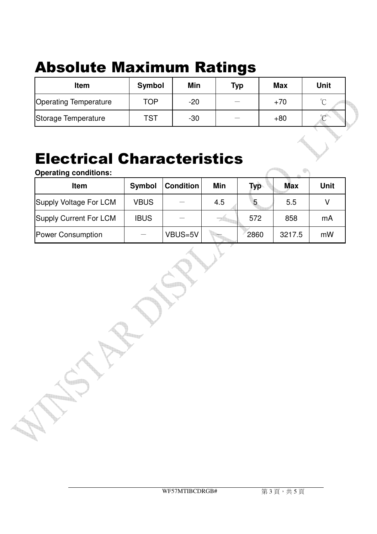# Absolute Maximum Ratings

| <b>Item</b>                  | Symbol     | Min   | <b>Typ</b> | <b>Max</b> | <b>Unit</b> |
|------------------------------|------------|-------|------------|------------|-------------|
| <b>Operating Temperature</b> | TOP        | $-20$ |            | $+70$      | $\sim$      |
| Storage Temperature          | <b>TST</b> | $-30$ |            | $+80$      |             |

## Electrical Characteristics

**Operating conditions:**

| Item                   | Symbol      | <b>Condition</b> | Min | Typ  | <b>Max</b> | <b>Unit</b> |
|------------------------|-------------|------------------|-----|------|------------|-------------|
| Supply Voltage For LCM | <b>VBUS</b> |                  | 4.5 | 5    | 5.5        |             |
| Supply Current For LCM | <b>IBUS</b> |                  |     | 572  | 858        | mA          |
| Power Consumption      |             | VBUS=5V          |     | 2860 | 3217.5     | mW          |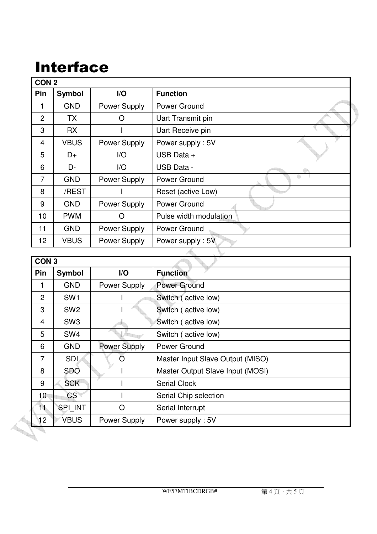# Interface

| CON <sub>2</sub> |               |              |                        |  |  |
|------------------|---------------|--------------|------------------------|--|--|
| Pin              | <b>Symbol</b> | I/O          | <b>Function</b>        |  |  |
|                  | <b>GND</b>    | Power Supply | Power Ground           |  |  |
| $\overline{2}$   | <b>TX</b>     | Ω            | Uart Transmit pin      |  |  |
| 3                | <b>RX</b>     |              | Uart Receive pin       |  |  |
| $\overline{4}$   | <b>VBUS</b>   | Power Supply | Power supply: 5V       |  |  |
| 5                | $D+$          | I/O          | USB Data +             |  |  |
| 6                | D-            | I/O          | <b>USB Data -</b>      |  |  |
| $\overline{7}$   | <b>GND</b>    | Power Supply | 4<br>Power Ground      |  |  |
| 8                | /REST         |              | Reset (active Low)     |  |  |
| 9                | <b>GND</b>    | Power Supply | Power Ground           |  |  |
| 10               | <b>PWM</b>    | O            | Pulse width modulation |  |  |
| 11               | <b>GND</b>    | Power Supply | Power Ground           |  |  |
| 12               | <b>VBUS</b>   | Power Supply | Power supply: 5V       |  |  |

|                 | CON <sub>3</sub> |                     |                                  |  |  |
|-----------------|------------------|---------------------|----------------------------------|--|--|
| Pin             | <b>Symbol</b>    | I/O                 | <b>Function</b>                  |  |  |
| 1               | <b>GND</b>       | Power Supply        | Power Ground                     |  |  |
| 2               | SW <sub>1</sub>  |                     | Switch (active low)              |  |  |
| 3               | SW <sub>2</sub>  |                     | Switch (active low)              |  |  |
| 4               | SW <sub>3</sub>  |                     | Switch (active low)              |  |  |
| 5               | SW <sub>4</sub>  |                     | Switch (active low)              |  |  |
| 6               | <b>GND</b>       | <b>Power Supply</b> | Power Ground                     |  |  |
| 7               | <b>SDI</b>       | ( )                 | Master Input Slave Output (MISO) |  |  |
| 8               | <b>SDO</b>       |                     | Master Output Slave Input (MOSI) |  |  |
| 9               | <b>SCK</b>       |                     | <b>Serial Clock</b>              |  |  |
| 10 <sub>1</sub> | CS               |                     | Serial Chip selection            |  |  |
| 11              | SPI INT          | O                   | Serial Interrupt                 |  |  |
| $\sqrt{12}$     | <b>VBUS</b>      | Power Supply        | Power supply: 5V                 |  |  |